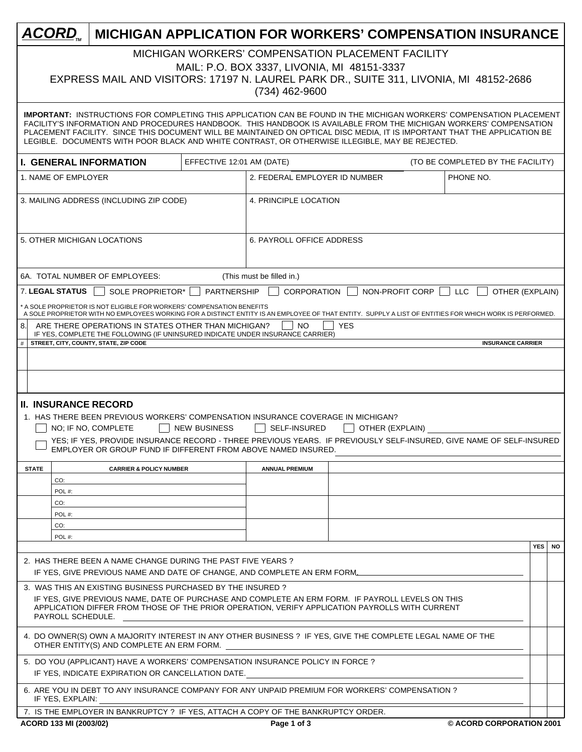| ACORD.                                                                                                                                                                                                                                                                                                                                                                                                                                                                            |                                                                                                                         |                           |                           |                 | <b>MICHIGAN APPLICATION FOR WORKERS' COMPENSATION INSURANCE</b>                                                     |  |          |  |  |
|-----------------------------------------------------------------------------------------------------------------------------------------------------------------------------------------------------------------------------------------------------------------------------------------------------------------------------------------------------------------------------------------------------------------------------------------------------------------------------------|-------------------------------------------------------------------------------------------------------------------------|---------------------------|---------------------------|-----------------|---------------------------------------------------------------------------------------------------------------------|--|----------|--|--|
| MICHIGAN WORKERS' COMPENSATION PLACEMENT FACILITY<br>MAIL: P.O. BOX 3337, LIVONIA, MI 48151-3337<br>EXPRESS MAIL AND VISITORS: 17197 N. LAUREL PARK DR., SUITE 311, LIVONIA, MI 48152-2686<br>$(734)$ 462-9600                                                                                                                                                                                                                                                                    |                                                                                                                         |                           |                           |                 |                                                                                                                     |  |          |  |  |
| <b>IMPORTANT: INSTRUCTIONS FOR COMPLETING THIS APPLICATION CAN BE FOUND IN THE MICHIGAN WORKERS' COMPENSATION PLACEMENT</b><br>FACILITY'S INFORMATION AND PROCEDURES HANDBOOK. THIS HANDBOOK IS AVAILABLE FROM THE MICHIGAN WORKERS' COMPENSATION<br>PLACEMENT FACILITY. SINCE THIS DOCUMENT WILL BE MAINTAINED ON OPTICAL DISC MEDIA, IT IS IMPORTANT THAT THE APPLICATION BE<br>LEGIBLE. DOCUMENTS WITH POOR BLACK AND WHITE CONTRAST, OR OTHERWISE ILLEGIBLE, MAY BE REJECTED. |                                                                                                                         |                           |                           |                 |                                                                                                                     |  |          |  |  |
| <b>I. GENERAL INFORMATION</b>                                                                                                                                                                                                                                                                                                                                                                                                                                                     |                                                                                                                         | EFFECTIVE 12:01 AM (DATE) |                           |                 | (TO BE COMPLETED BY THE FACILITY)                                                                                   |  |          |  |  |
| PHONE NO.<br>1. NAME OF EMPLOYER<br>2. FEDERAL EMPLOYER ID NUMBER                                                                                                                                                                                                                                                                                                                                                                                                                 |                                                                                                                         |                           |                           |                 |                                                                                                                     |  |          |  |  |
| 3. MAILING ADDRESS (INCLUDING ZIP CODE)<br>4. PRINCIPLE LOCATION                                                                                                                                                                                                                                                                                                                                                                                                                  |                                                                                                                         |                           |                           |                 |                                                                                                                     |  |          |  |  |
| 5. OTHER MICHIGAN LOCATIONS<br><b>6. PAYROLL OFFICE ADDRESS</b>                                                                                                                                                                                                                                                                                                                                                                                                                   |                                                                                                                         |                           |                           |                 |                                                                                                                     |  |          |  |  |
|                                                                                                                                                                                                                                                                                                                                                                                                                                                                                   | 6A. TOTAL NUMBER OF EMPLOYEES:                                                                                          |                           | (This must be filled in.) |                 |                                                                                                                     |  |          |  |  |
| <b>7. LEGAL STATUS</b>                                                                                                                                                                                                                                                                                                                                                                                                                                                            | SOLE PROPRIETOR*                                                                                                        | <b>PARTNERSHIP</b>        | <b>CORPORATION</b>        | NON-PROFIT CORP | <b>LLC</b><br>OTHER (EXPLAIN)                                                                                       |  |          |  |  |
| * A SOLE PROPRIETOR IS NOT ELIGIBLE FOR WORKERS' COMPENSATION BENEFITS<br>A SOLE PROPRIETOR WITH NO EMPLOYEES WORKING FOR A DISTINCT ENTITY IS AN EMPLOYEE OF THAT ENTITY. SUPPLY A LIST OF ENTITIES FOR WHICH WORK IS PERFORMED.<br>8.<br>ARE THERE OPERATIONS IN STATES OTHER THAN MICHIGAN?<br>NO<br><b>YES</b>                                                                                                                                                                |                                                                                                                         |                           |                           |                 |                                                                                                                     |  |          |  |  |
| #                                                                                                                                                                                                                                                                                                                                                                                                                                                                                 | IF YES, COMPLETE THE FOLLOWING (IF UNINSURED INDICATE UNDER INSURANCE CARRIER)<br>STREET, CITY, COUNTY, STATE, ZIP CODE |                           |                           |                 | <b>INSURANCE CARRIER</b>                                                                                            |  |          |  |  |
|                                                                                                                                                                                                                                                                                                                                                                                                                                                                                   |                                                                                                                         |                           |                           |                 |                                                                                                                     |  |          |  |  |
|                                                                                                                                                                                                                                                                                                                                                                                                                                                                                   |                                                                                                                         |                           |                           |                 |                                                                                                                     |  |          |  |  |
|                                                                                                                                                                                                                                                                                                                                                                                                                                                                                   |                                                                                                                         |                           |                           |                 |                                                                                                                     |  |          |  |  |
| <b>II. INSURANCE RECORD</b>                                                                                                                                                                                                                                                                                                                                                                                                                                                       | 1. HAS THERE BEEN PREVIOUS WORKERS' COMPENSATION INSURANCE COVERAGE IN MICHIGAN?                                        |                           |                           |                 |                                                                                                                     |  |          |  |  |
|                                                                                                                                                                                                                                                                                                                                                                                                                                                                                   | NO; IF NO, COMPLETE                                                                                                     | <b>NEW BUSINESS</b>       | <b>SELF-INSURED</b>       | OTHER (EXPLAIN) |                                                                                                                     |  |          |  |  |
|                                                                                                                                                                                                                                                                                                                                                                                                                                                                                   | EMPLOYER OR GROUP FUND IF DIFFERENT FROM ABOVE NAMED INSURED.                                                           |                           |                           |                 | YES; IF YES, PROVIDE INSURANCE RECORD - THREE PREVIOUS YEARS. IF PREVIOUSLY SELF-INSURED, GIVE NAME OF SELF-INSURED |  |          |  |  |
| <b>STATE</b>                                                                                                                                                                                                                                                                                                                                                                                                                                                                      | <b>CARRIER &amp; POLICY NUMBER</b>                                                                                      |                           | <b>ANNUAL PREMIUM</b>     |                 |                                                                                                                     |  |          |  |  |
| CO:                                                                                                                                                                                                                                                                                                                                                                                                                                                                               |                                                                                                                         |                           |                           |                 |                                                                                                                     |  |          |  |  |
| POL#:<br>CO:                                                                                                                                                                                                                                                                                                                                                                                                                                                                      |                                                                                                                         |                           |                           |                 |                                                                                                                     |  |          |  |  |
| POL#:                                                                                                                                                                                                                                                                                                                                                                                                                                                                             |                                                                                                                         |                           |                           |                 |                                                                                                                     |  |          |  |  |
| CO:<br>POL#:                                                                                                                                                                                                                                                                                                                                                                                                                                                                      |                                                                                                                         |                           |                           |                 |                                                                                                                     |  |          |  |  |
|                                                                                                                                                                                                                                                                                                                                                                                                                                                                                   |                                                                                                                         |                           |                           |                 |                                                                                                                     |  | YES   NO |  |  |
| 2. HAS THERE BEEN A NAME CHANGE DURING THE PAST FIVE YEARS?<br>IF YES, GIVE PREVIOUS NAME AND DATE OF CHANGE, AND COMPLETE AN ERM FORM.                                                                                                                                                                                                                                                                                                                                           |                                                                                                                         |                           |                           |                 |                                                                                                                     |  |          |  |  |
| 3. WAS THIS AN EXISTING BUSINESS PURCHASED BY THE INSURED?<br>IF YES, GIVE PREVIOUS NAME, DATE OF PURCHASE AND COMPLETE AN ERM FORM. IF PAYROLL LEVELS ON THIS<br>APPLICATION DIFFER FROM THOSE OF THE PRIOR OPERATION, VERIFY APPLICATION PAYROLLS WITH CURRENT<br>PAYROLL SCHEDULE.                                                                                                                                                                                             |                                                                                                                         |                           |                           |                 |                                                                                                                     |  |          |  |  |
| 4. DO OWNER(S) OWN A MAJORITY INTEREST IN ANY OTHER BUSINESS ? IF YES, GIVE THE COMPLETE LEGAL NAME OF THE<br>OTHER ENTITY(S) AND COMPLETE AN ERM FORM.                                                                                                                                                                                                                                                                                                                           |                                                                                                                         |                           |                           |                 |                                                                                                                     |  |          |  |  |
| 5. DO YOU (APPLICANT) HAVE A WORKERS' COMPENSATION INSURANCE POLICY IN FORCE ?<br>IF YES, INDICATE EXPIRATION OR CANCELLATION DATE.                                                                                                                                                                                                                                                                                                                                               |                                                                                                                         |                           |                           |                 |                                                                                                                     |  |          |  |  |
|                                                                                                                                                                                                                                                                                                                                                                                                                                                                                   | 6. ARE YOU IN DEBT TO ANY INSURANCE COMPANY FOR ANY UNPAID PREMIUM FOR WORKERS' COMPENSATION ?                          |                           |                           |                 |                                                                                                                     |  |          |  |  |
| IF YES, EXPLAIN:                                                                                                                                                                                                                                                                                                                                                                                                                                                                  | 7. IS THE EMPLOYER IN BANKRUPTCY ? IF YES, ATTACH A COPY OF THE BANKRUPTCY ORDER.                                       |                           |                           |                 |                                                                                                                     |  |          |  |  |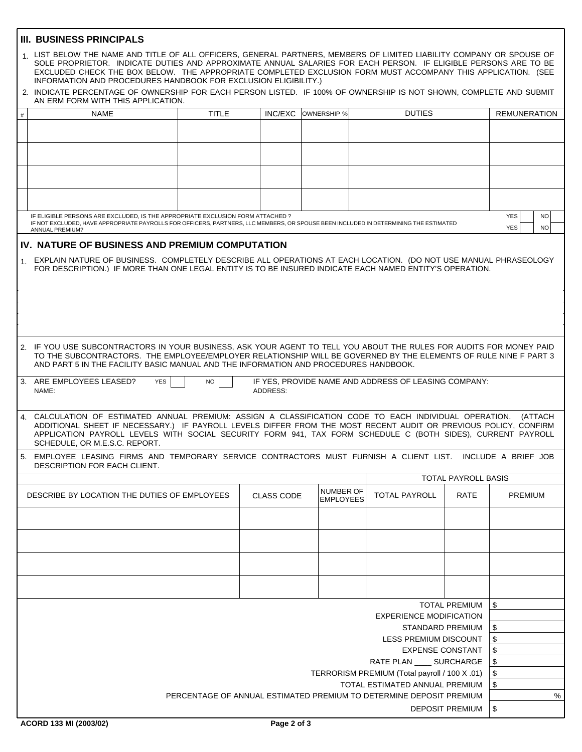## **III. BUSINESS PRINCIPALS**

|                                                                                | 1. LIST BELOW THE NAME AND TITLE OF ALL OFFICERS, GENERAL PARTNERS, MEMBERS OF LIMITED LIABILITY COMPANY OR SPOUSE OF<br>SOLE PROPRIETOR. INDICATE DUTIES AND APPROXIMATE ANNUAL SALARIES FOR EACH PERSON. IF ELIGIBLE PERSONS ARE TO BE<br>EXCLUDED CHECK THE BOX BELOW. THE APPROPRIATE COMPLETED EXCLUSION FORM MUST ACCOMPANY THIS APPLICATION. (SEE<br>INFORMATION AND PROCEDURES HANDBOOK FOR EXCLUSION ELIGIBILITY.)<br>2. INDICATE PERCENTAGE OF OWNERSHIP FOR EACH PERSON LISTED. IF 100% OF OWNERSHIP IS NOT SHOWN, COMPLETE AND SUBMIT<br>AN ERM FORM WITH THIS APPLICATION. |              |                   |                  |  |                      |                            |            |                |                     |
|--------------------------------------------------------------------------------|-----------------------------------------------------------------------------------------------------------------------------------------------------------------------------------------------------------------------------------------------------------------------------------------------------------------------------------------------------------------------------------------------------------------------------------------------------------------------------------------------------------------------------------------------------------------------------------------|--------------|-------------------|------------------|--|----------------------|----------------------------|------------|----------------|---------------------|
|                                                                                |                                                                                                                                                                                                                                                                                                                                                                                                                                                                                                                                                                                         |              |                   |                  |  |                      |                            |            |                |                     |
| $\#$                                                                           | <b>NAME</b>                                                                                                                                                                                                                                                                                                                                                                                                                                                                                                                                                                             | <b>TITLE</b> | <b>INC/EXC</b>    | OWNERSHIP %      |  | <b>DUTIES</b>        |                            |            |                | <b>REMUNERATION</b> |
|                                                                                |                                                                                                                                                                                                                                                                                                                                                                                                                                                                                                                                                                                         |              |                   |                  |  |                      |                            |            |                |                     |
|                                                                                |                                                                                                                                                                                                                                                                                                                                                                                                                                                                                                                                                                                         |              |                   |                  |  |                      |                            |            |                |                     |
|                                                                                |                                                                                                                                                                                                                                                                                                                                                                                                                                                                                                                                                                                         |              |                   |                  |  |                      |                            |            |                |                     |
|                                                                                |                                                                                                                                                                                                                                                                                                                                                                                                                                                                                                                                                                                         |              |                   |                  |  |                      |                            |            |                |                     |
|                                                                                |                                                                                                                                                                                                                                                                                                                                                                                                                                                                                                                                                                                         |              |                   |                  |  |                      |                            |            |                |                     |
|                                                                                |                                                                                                                                                                                                                                                                                                                                                                                                                                                                                                                                                                                         |              |                   |                  |  |                      |                            |            |                |                     |
|                                                                                |                                                                                                                                                                                                                                                                                                                                                                                                                                                                                                                                                                                         |              |                   |                  |  |                      |                            |            |                |                     |
|                                                                                |                                                                                                                                                                                                                                                                                                                                                                                                                                                                                                                                                                                         |              |                   |                  |  |                      |                            |            |                |                     |
| IF ELIGIBLE PERSONS ARE EXCLUDED, IS THE APPROPRIATE EXCLUSION FORM ATTACHED ? |                                                                                                                                                                                                                                                                                                                                                                                                                                                                                                                                                                                         |              |                   |                  |  |                      |                            |            |                | <b>NO</b>           |
|                                                                                | IF NOT EXCLUDED, HAVE APPROPRIATE PAYROLLS FOR OFFICERS, PARTNERS, LLC MEMBERS, OR SPOUSE BEEN INCLUDED IN DETERMINING THE ESTIMATED<br>ANNUAL PREMIUM?                                                                                                                                                                                                                                                                                                                                                                                                                                 |              |                   |                  |  |                      |                            | <b>YES</b> |                | <b>NO</b>           |
|                                                                                |                                                                                                                                                                                                                                                                                                                                                                                                                                                                                                                                                                                         |              |                   |                  |  |                      |                            |            |                |                     |
|                                                                                | IV. NATURE OF BUSINESS AND PREMIUM COMPUTATION                                                                                                                                                                                                                                                                                                                                                                                                                                                                                                                                          |              |                   |                  |  |                      |                            |            |                |                     |
|                                                                                | 1. EXPLAIN NATURE OF BUSINESS. COMPLETELY DESCRIBE ALL OPERATIONS AT EACH LOCATION. (DO NOT USE MANUAL PHRASEOLOGY<br>FOR DESCRIPTION.) IF MORE THAN ONE LEGAL ENTITY IS TO BE INSURED INDICATE EACH NAMED ENTITY'S OPERATION.                                                                                                                                                                                                                                                                                                                                                          |              |                   |                  |  |                      |                            |            |                |                     |
|                                                                                | 2. IF YOU USE SUBCONTRACTORS IN YOUR BUSINESS, ASK YOUR AGENT TO TELL YOU ABOUT THE RULES FOR AUDITS FOR MONEY PAID<br>TO THE SUBCONTRACTORS. THE EMPLOYEE/EMPLOYER RELATIONSHIP WILL BE GOVERNED BY THE ELEMENTS OF RULE NINE F PART 3<br>AND PART 5 IN THE FACILITY BASIC MANUAL AND THE INFORMATION AND PROCEDURES HANDBOOK.                                                                                                                                                                                                                                                         |              |                   |                  |  |                      |                            |            |                |                     |
|                                                                                | 3. ARE EMPLOYEES LEASED?<br>IF YES, PROVIDE NAME AND ADDRESS OF LEASING COMPANY:<br><b>YES</b><br><b>NO</b><br>ADDRESS:<br>NAME:                                                                                                                                                                                                                                                                                                                                                                                                                                                        |              |                   |                  |  |                      |                            |            |                |                     |
|                                                                                | 4. CALCULATION OF ESTIMATED ANNUAL PREMIUM: ASSIGN A CLASSIFICATION CODE TO EACH INDIVIDUAL OPERATION.<br>(ATTACH<br>ADDITIONAL SHEET IF NECESSARY.) IF PAYROLL LEVELS DIFFER FROM THE MOST RECENT AUDIT OR PREVIOUS POLICY, CONFIRM<br>APPLICATION PAYROLL LEVELS WITH SOCIAL SECURITY FORM 941, TAX FORM SCHEDULE C (BOTH SIDES), CURRENT PAYROLL<br>SCHEDULE, OR M.E.S.C. REPORT.                                                                                                                                                                                                    |              |                   |                  |  |                      |                            |            |                |                     |
|                                                                                | 5. EMPLOYEE LEASING FIRMS AND TEMPORARY SERVICE CONTRACTORS MUST FURNISH A CLIENT LIST. INCLUDE A BRIEF JOB<br>DESCRIPTION FOR EACH CLIENT.                                                                                                                                                                                                                                                                                                                                                                                                                                             |              |                   |                  |  |                      |                            |            |                |                     |
|                                                                                |                                                                                                                                                                                                                                                                                                                                                                                                                                                                                                                                                                                         |              |                   |                  |  |                      | <b>TOTAL PAYROLL BASIS</b> |            |                |                     |
|                                                                                | DESCRIBE BY LOCATION THE DUTIES OF EMPLOYEES                                                                                                                                                                                                                                                                                                                                                                                                                                                                                                                                            |              | <b>CLASS CODE</b> | <b>NUMBER OF</b> |  | <b>TOTAL PAYROLL</b> |                            |            | <b>PREMIUM</b> |                     |
|                                                                                |                                                                                                                                                                                                                                                                                                                                                                                                                                                                                                                                                                                         |              |                   | <b>EMPLOYEES</b> |  |                      | RATE                       |            |                |                     |
|                                                                                |                                                                                                                                                                                                                                                                                                                                                                                                                                                                                                                                                                                         |              |                   |                  |  |                      |                            |            |                |                     |
|                                                                                |                                                                                                                                                                                                                                                                                                                                                                                                                                                                                                                                                                                         |              |                   |                  |  |                      |                            |            |                |                     |
|                                                                                |                                                                                                                                                                                                                                                                                                                                                                                                                                                                                                                                                                                         |              |                   |                  |  |                      |                            |            |                |                     |
|                                                                                |                                                                                                                                                                                                                                                                                                                                                                                                                                                                                                                                                                                         |              |                   |                  |  |                      |                            |            |                |                     |
|                                                                                |                                                                                                                                                                                                                                                                                                                                                                                                                                                                                                                                                                                         |              |                   |                  |  |                      |                            |            |                |                     |
|                                                                                |                                                                                                                                                                                                                                                                                                                                                                                                                                                                                                                                                                                         |              |                   |                  |  |                      |                            |            |                |                     |
|                                                                                |                                                                                                                                                                                                                                                                                                                                                                                                                                                                                                                                                                                         |              |                   |                  |  |                      |                            |            |                |                     |
|                                                                                |                                                                                                                                                                                                                                                                                                                                                                                                                                                                                                                                                                                         |              |                   |                  |  |                      |                            |            |                |                     |
|                                                                                | \$<br><b>TOTAL PREMIUM</b>                                                                                                                                                                                                                                                                                                                                                                                                                                                                                                                                                              |              |                   |                  |  |                      |                            |            |                |                     |
| <b>EXPERIENCE MODIFICATION</b>                                                 |                                                                                                                                                                                                                                                                                                                                                                                                                                                                                                                                                                                         |              |                   |                  |  |                      |                            |            |                |                     |
| \$<br>STANDARD PREMIUM                                                         |                                                                                                                                                                                                                                                                                                                                                                                                                                                                                                                                                                                         |              |                   |                  |  |                      |                            |            |                |                     |
|                                                                                | \$<br>LESS PREMIUM DISCOUNT                                                                                                                                                                                                                                                                                                                                                                                                                                                                                                                                                             |              |                   |                  |  |                      |                            |            |                |                     |
|                                                                                | \$<br><b>EXPENSE CONSTANT</b>                                                                                                                                                                                                                                                                                                                                                                                                                                                                                                                                                           |              |                   |                  |  |                      |                            |            |                |                     |
|                                                                                | \$<br>RATE PLAN _____ SURCHARGE                                                                                                                                                                                                                                                                                                                                                                                                                                                                                                                                                         |              |                   |                  |  |                      |                            |            |                |                     |
|                                                                                | \$<br>TERRORISM PREMIUM (Total payroll / 100 X .01)                                                                                                                                                                                                                                                                                                                                                                                                                                                                                                                                     |              |                   |                  |  |                      |                            |            |                |                     |
|                                                                                | \$<br>TOTAL ESTIMATED ANNUAL PREMIUM                                                                                                                                                                                                                                                                                                                                                                                                                                                                                                                                                    |              |                   |                  |  |                      |                            |            |                |                     |
|                                                                                |                                                                                                                                                                                                                                                                                                                                                                                                                                                                                                                                                                                         |              |                   |                  |  |                      |                            |            |                | %                   |
|                                                                                | PERCENTAGE OF ANNUAL ESTIMATED PREMIUM TO DETERMINE DEPOSIT PREMIUM                                                                                                                                                                                                                                                                                                                                                                                                                                                                                                                     |              |                   |                  |  |                      |                            |            |                |                     |
|                                                                                | \$<br><b>DEPOSIT PREMIUM</b>                                                                                                                                                                                                                                                                                                                                                                                                                                                                                                                                                            |              |                   |                  |  |                      |                            |            |                |                     |